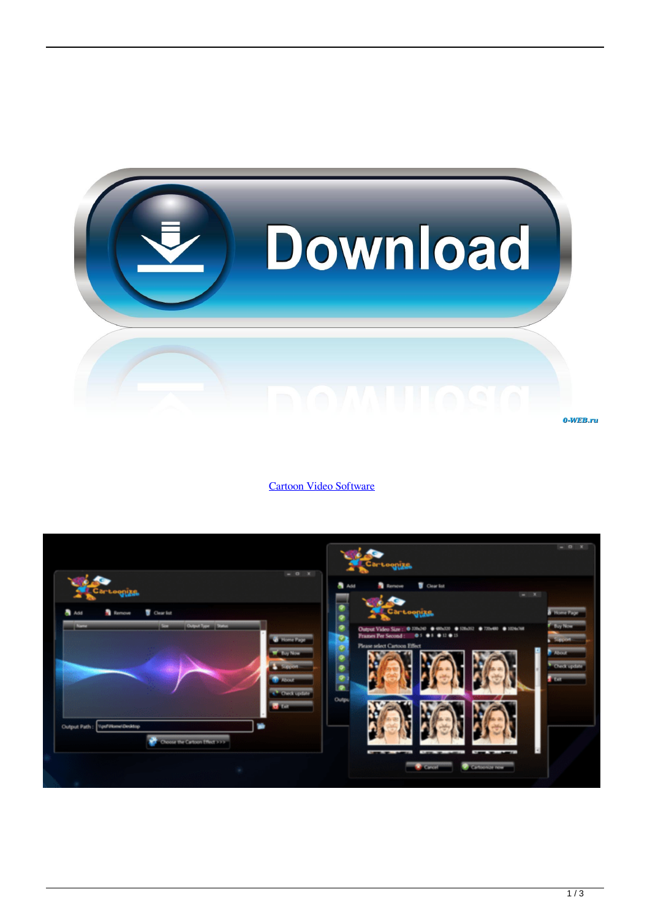

[Cartoon Video Software](http://cinurl.com/1eh4oi)

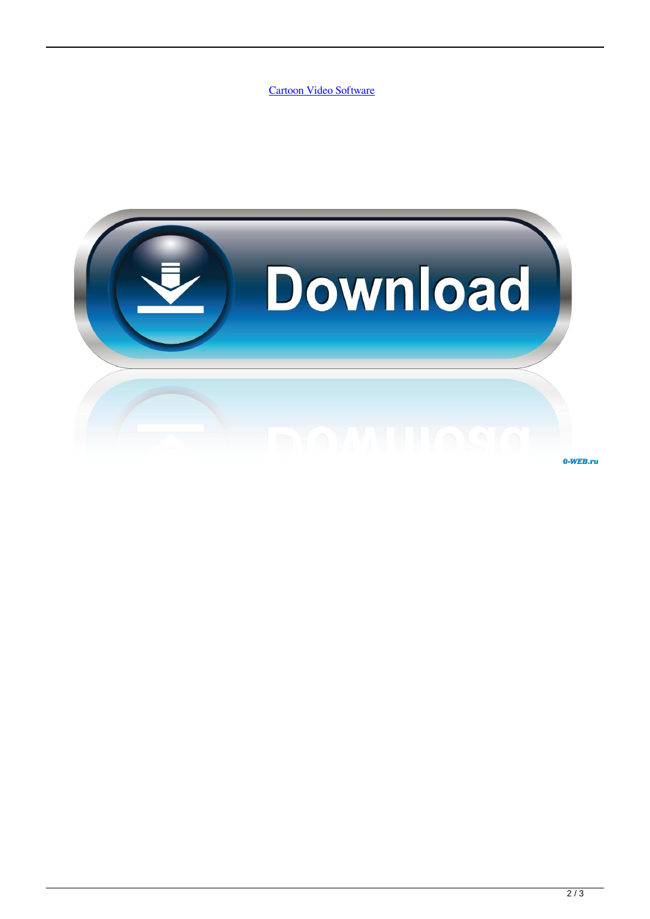[Cartoon Video Software](http://cinurl.com/1eh4oi)